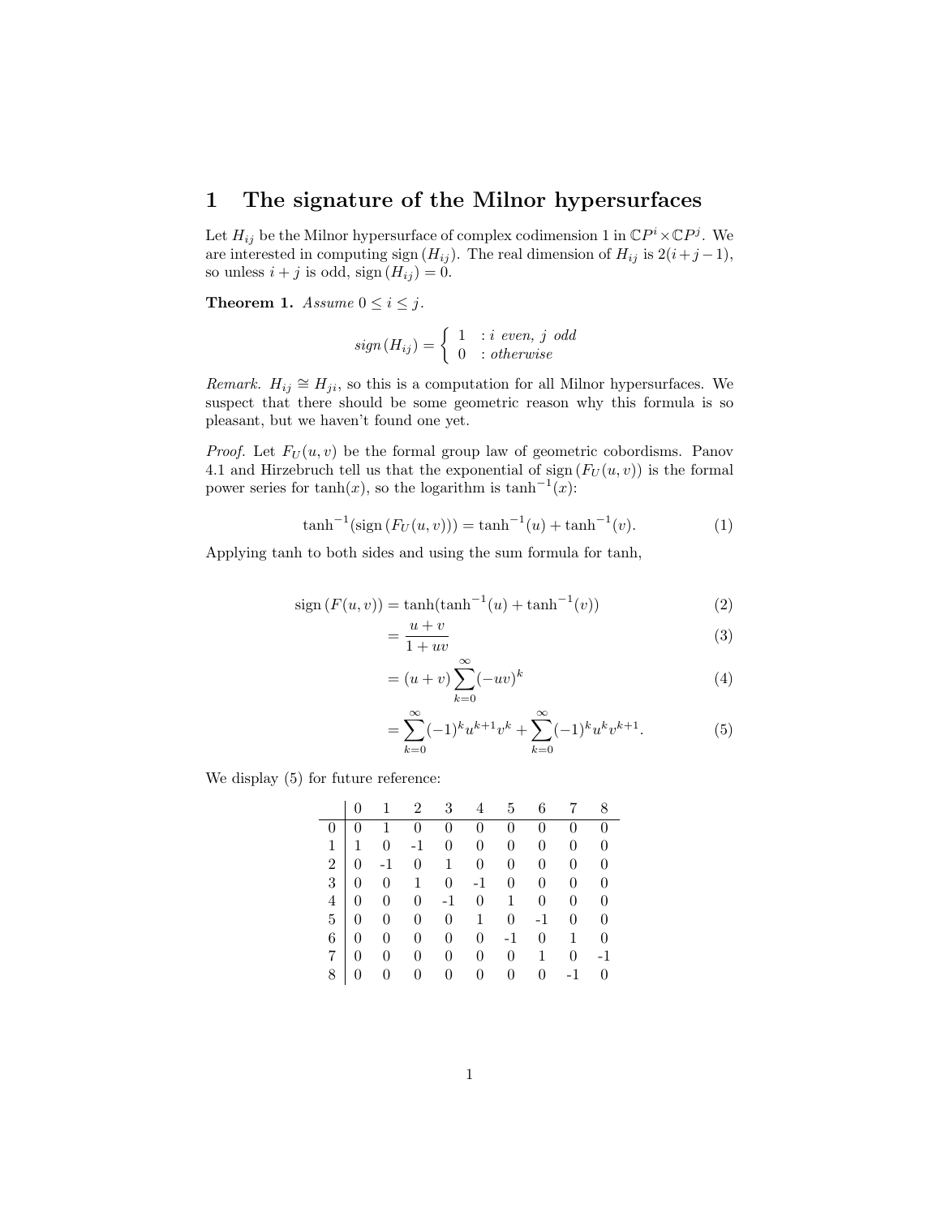## 1 The signature of the Milnor hypersurfaces

Let  $H_{ij}$  be the Milnor hypersurface of complex codimension 1 in  $\mathbb{C}P^i \times \mathbb{C}P^j$ . We are interested in computing sign  $(H_{ij})$ . The real dimension of  $H_{ij}$  is  $2(i+j-1)$ , so unless  $i + j$  is odd, sign  $(H_{ij}) = 0$ .

**Theorem 1.** Assume  $0 \le i \le j$ .

$$
sign(H_{ij}) = \begin{cases} 1 & : i \text{ even, } j \text{ odd} \\ 0 & : otherwise \end{cases}
$$

Remark.  $H_{ij} \cong H_{ji}$ , so this is a computation for all Milnor hypersurfaces. We suspect that there should be some geometric reason why this formula is so pleasant, but we haven't found one yet.

*Proof.* Let  $F_U(u, v)$  be the formal group law of geometric cobordisms. Panov 4.1 and Hirzebruch tell us that the exponential of sign  $(F_U(u, v))$  is the formal power series for  $tanh(x)$ , so the logarithm is  $tanh^{-1}(x)$ :

$$
\tanh^{-1}(\text{sign}(F_U(u,v))) = \tanh^{-1}(u) + \tanh^{-1}(v). \tag{1}
$$

Applying tanh to both sides and using the sum formula for tanh,

=

$$
\operatorname{sign}\left(F(u,v)\right) = \tanh(\tanh^{-1}(u) + \tanh^{-1}(v))\tag{2}
$$

$$
=\frac{u+v}{1+uv} \tag{3}
$$

$$
= (u+v)\sum_{k=0}^{\infty}(-uv)^k
$$
\n(4)

$$
= \sum_{k=0}^{\infty} (-1)^k u^{k+1} v^k + \sum_{k=0}^{\infty} (-1)^k u^k v^{k+1}.
$$
 (5)

We display (5) for future reference:

|                |                | 1                | $\overline{2}$   | 3                | 4                | 5                | 6                |      | 8                |
|----------------|----------------|------------------|------------------|------------------|------------------|------------------|------------------|------|------------------|
|                |                |                  | $\boldsymbol{0}$ | $\boldsymbol{0}$ | $\boldsymbol{0}$ | $\boldsymbol{0}$ | 0                |      | $\overline{0}$   |
| $\mathbf{1}$   | 1              | $\boldsymbol{0}$ | $-1$             | $\overline{0}$   | 0                | 0                | 0                | 0    | $\overline{0}$   |
| $\overline{2}$ |                | $-1$             | $\overline{0}$   | 1                | $\overline{0}$   | 0                | 0                | 0    | 0                |
| $\overline{3}$ |                | $\boldsymbol{0}$ | 1                | $\overline{0}$   | $-1$             | $\overline{0}$   | $\overline{0}$   | 0    | $\overline{0}$   |
| $\overline{4}$ |                | $\boldsymbol{0}$ | $\boldsymbol{0}$ | $-1$             | $\overline{0}$   | $\mathbf{1}$     | $\boldsymbol{0}$ | 0    | 0                |
| 5 <sup>5</sup> |                | $\boldsymbol{0}$ | $\overline{0}$   | $\overline{0}$   | $\mathbf{1}$     | 0                | $-1$             | 0    | $\boldsymbol{0}$ |
| 6              | $\overline{0}$ | $\boldsymbol{0}$ | $\overline{0}$   | $\boldsymbol{0}$ | $\boldsymbol{0}$ | $-1$             | 0                | 1    | 0                |
| $\overline{7}$ | 0              | 0                | $\boldsymbol{0}$ | $\boldsymbol{0}$ | 0                | 0                | 1                | 0    | -1               |
| 8              |                |                  | $\overline{0}$   | $\boldsymbol{0}$ | 0                | $\overline{0}$   |                  | $-1$ | $\overline{0}$   |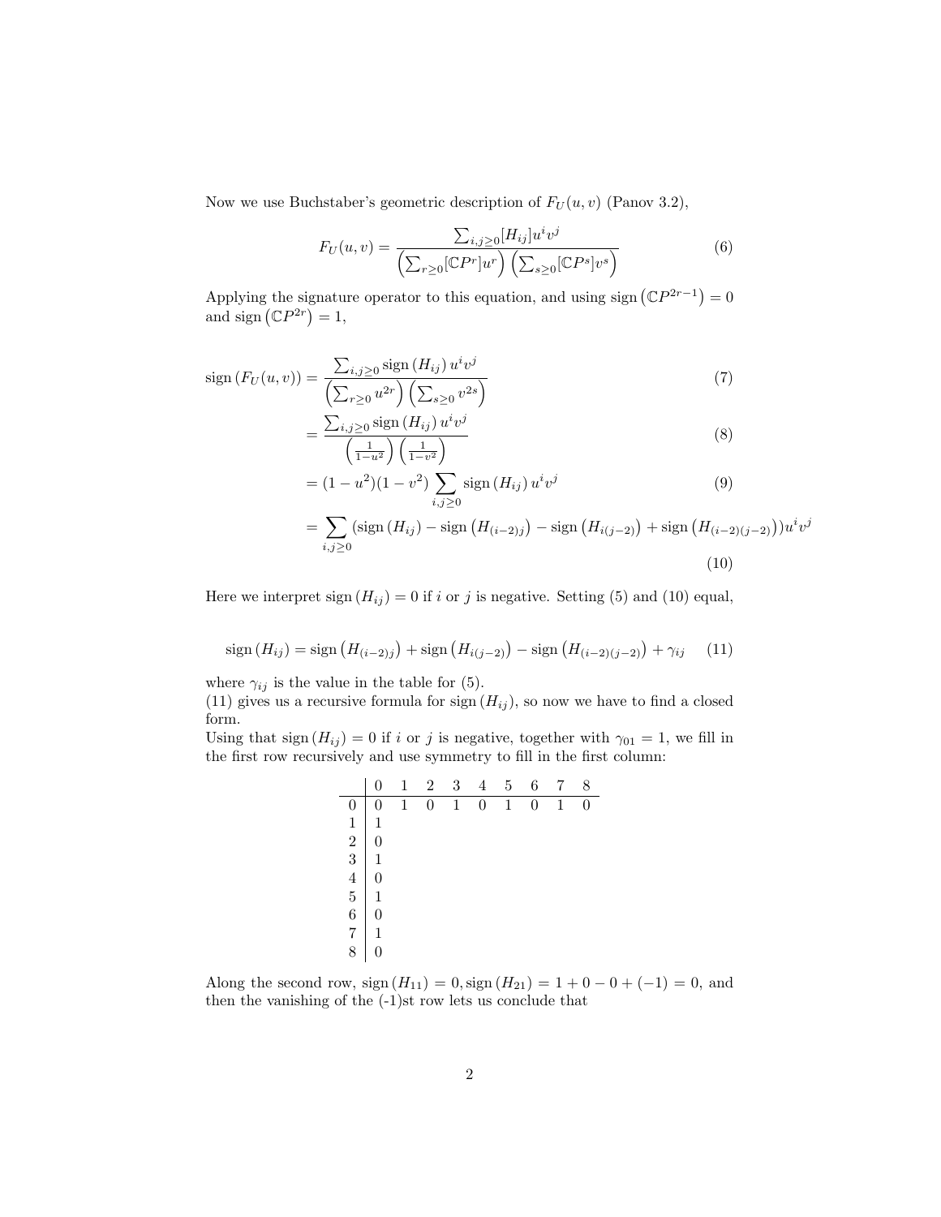Now we use Buchstaber's geometric description of  $F_U(u, v)$  (Panov 3.2),

$$
F_U(u,v) = \frac{\sum_{i,j\geq 0} [H_{ij}]u^iv^j}{\left(\sum_{r\geq 0} [\mathbb{C}P^r]u^r\right)\left(\sum_{s\geq 0} [\mathbb{C}P^s]v^s\right)}
$$
(6)

Applying the signature operator to this equation, and using sign  $(\mathbb{C}P^{2r-1})=0$ and sign  $(\mathbb{C}P^{2r})=1$ ,

$$
\operatorname{sign}\left(F_U(u,v)\right) = \frac{\sum_{i,j\geq 0} \operatorname{sign}\left(H_{ij}\right) u^i v^j}{\left(\sum_{r\geq 0} u^{2r}\right) \left(\sum_{s\geq 0} v^{2s}\right)}\tag{7}
$$

$$
=\frac{\sum_{i,j\geq 0} \operatorname{sign}\left(H_{ij}\right) u^i v^j}{\left(\frac{1}{1-u^2}\right)\left(\frac{1}{1-v^2}\right)}
$$
\n
$$
(8)
$$

$$
= (1 - u2)(1 - v2) \sum_{i,j \ge 0} sign(H_{ij}) ui vj
$$
 (9)

$$
= \sum_{i,j\geq 0} (\text{sign}(H_{ij}) - \text{sign}(H_{(i-2)j}) - \text{sign}(H_{i(j-2)}) + \text{sign}(H_{(i-2)(j-2)}))u^iv^j
$$
\n(10)

Here we interpret sign  $(H_{ij}) = 0$  if i or j is negative. Setting (5) and (10) equal,

$$
sign(H_{ij}) = sign(H_{(i-2)j}) + sign(H_{i(j-2)}) - sign(H_{(i-2)(j-2)}) + \gamma_{ij}
$$
 (11)

where  $\gamma_{ij}$  is the value in the table for (5).

(11) gives us a recursive formula for sign  $(H_{ij})$ , so now we have to find a closed form.

Using that sign  $(H_{ij}) = 0$  if i or j is negative, together with  $\gamma_{01} = 1$ , we fill in the first row recursively and use symmetry to fill in the first column:

|                                                                                                         | $\mathbf{1}$ | $\overline{2}$ | 3            | $\overline{4}$ | 5            | 6              | 7 | 8        |
|---------------------------------------------------------------------------------------------------------|--------------|----------------|--------------|----------------|--------------|----------------|---|----------|
| 0                                                                                                       | $\mathbf{1}$ | $\overline{0}$ | $\mathbf{1}$ | $\overline{0}$ | $\mathbf{1}$ | $\overline{0}$ | 1 | $\Omega$ |
|                                                                                                         |              |                |              |                |              |                |   |          |
|                                                                                                         |              |                |              |                |              |                |   |          |
|                                                                                                         |              |                |              |                |              |                |   |          |
| $\begin{array}{c cc} 1 & 1 & 0 \ 2 & 0 & 1 \ 3 & 4 & 0 \ 5 & 6 & 1 \ 6 & 7 & 1 \ 8 & 0 & 1 \end{array}$ |              |                |              |                |              |                |   |          |
|                                                                                                         |              |                |              |                |              |                |   |          |
|                                                                                                         |              |                |              |                |              |                |   |          |
|                                                                                                         |              |                |              |                |              |                |   |          |
|                                                                                                         |              |                |              |                |              |                |   |          |

Along the second row, sign  $(H_{11}) = 0$ , sign  $(H_{21}) = 1 + 0 - 0 + (-1) = 0$ , and then the vanishing of the (-1)st row lets us conclude that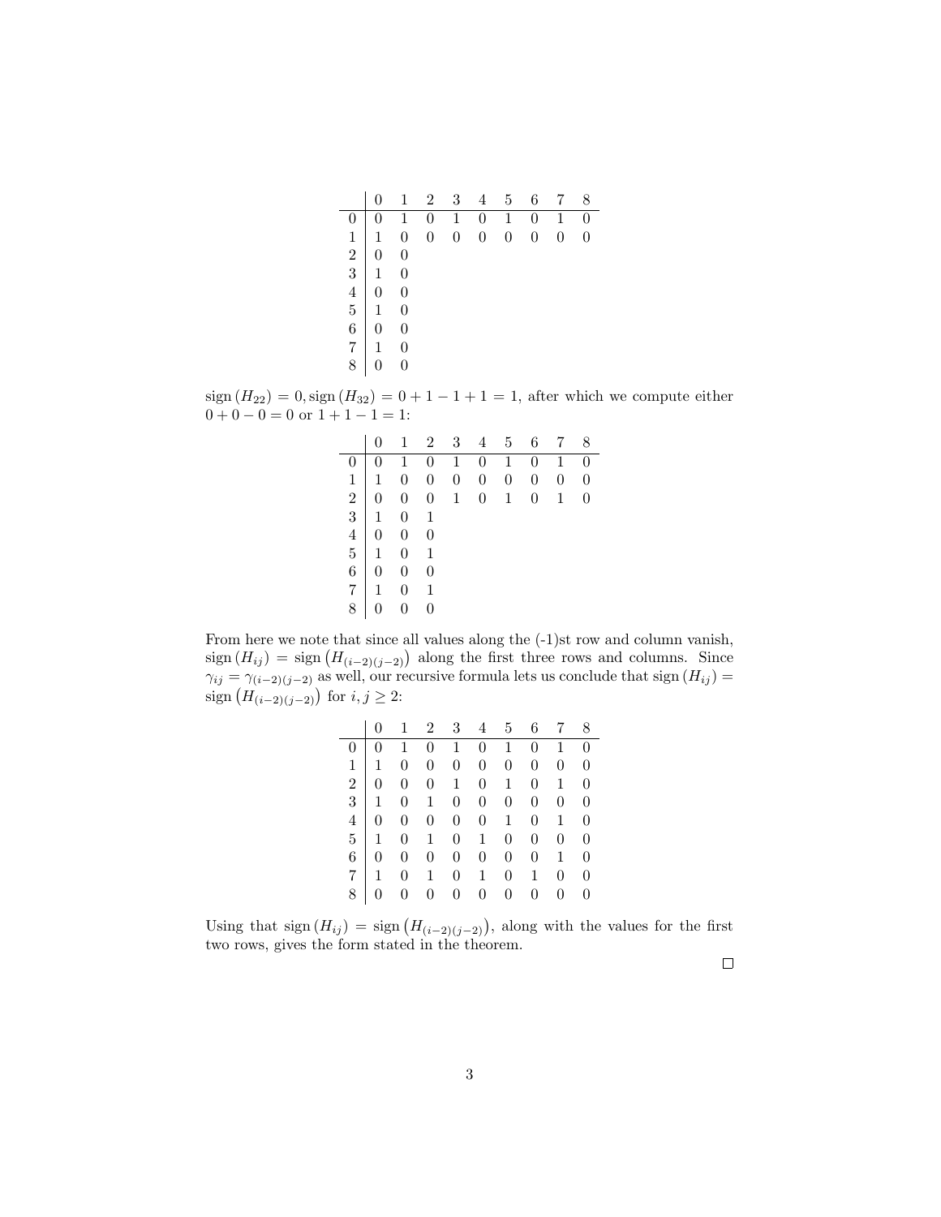|                                                          | $\overline{0}$                                           | $1_{-}$          |                | $2 \quad 3$    | 4                                                        | $5\overline{)}$  | 6 <sup>1</sup> | $7\phantom{.0}$ | 8              |
|----------------------------------------------------------|----------------------------------------------------------|------------------|----------------|----------------|----------------------------------------------------------|------------------|----------------|-----------------|----------------|
| 0                                                        | $\overline{0}$                                           |                  |                |                | $\begin{array}{ccccccccc} 1 & 0 & 1 & 0 & 1 \end{array}$ |                  | $\overline{0}$ | $\overline{1}$  | $\overline{0}$ |
| $\mathbf{1}$                                             | $\mathbf{1}$                                             | $\overline{0}$   | $\overline{0}$ | $\overline{0}$ | $\overline{0}$                                           | $\boldsymbol{0}$ | $\overline{0}$ | $\overline{0}$  | $\overline{0}$ |
| $\begin{array}{c c} 1 & 1 \\ 2 & 0 \\ 3 & 1 \end{array}$ |                                                          | $\boldsymbol{0}$ |                |                |                                                          |                  |                |                 |                |
|                                                          |                                                          | $\overline{0}$   |                |                |                                                          |                  |                |                 |                |
|                                                          | $\begin{array}{c cc} 4 & 0 & 0 \\ 5 & 1 & 0 \end{array}$ |                  |                |                |                                                          |                  |                |                 |                |
|                                                          |                                                          |                  |                |                |                                                          |                  |                |                 |                |
| $6 \mid 0$                                               |                                                          | $\boldsymbol{0}$ |                |                |                                                          |                  |                |                 |                |
| 7 1                                                      |                                                          | $\overline{0}$   |                |                |                                                          |                  |                |                 |                |
| 8                                                        |                                                          | $\overline{0}$   |                |                |                                                          |                  |                |                 |                |

sign  $(H_{22}) = 0$ , sign  $(H_{32}) = 0 + 1 - 1 + 1 = 1$ , after which we compute either  $0 + 0 - 0 = 0$  or  $1 + 1 - 1 = 1$ :

|                 |                |                | $1 \t2 \t3 \t4 \t5$                                                                                                                                                                                                                                                                                                           |                 | 6 <sup>1</sup> | 7 8                                                                                                                         |                |
|-----------------|----------------|----------------|-------------------------------------------------------------------------------------------------------------------------------------------------------------------------------------------------------------------------------------------------------------------------------------------------------------------------------|-----------------|----------------|-----------------------------------------------------------------------------------------------------------------------------|----------------|
|                 |                |                |                                                                                                                                                                                                                                                                                                                               |                 |                | $\begin{array}{cccccccccccc} 0 & 0 & 1 & 0 & 1 & 0 & 1 & 0 & 1 & 0 \\ 1 & 1 & 0 & 0 & 0 & 0 & 0 & 0 & 0 & 0 \\ \end{array}$ |                |
|                 |                |                |                                                                                                                                                                                                                                                                                                                               | $\vert 0 \vert$ |                |                                                                                                                             |                |
| $\frac{1}{2}$ 0 |                |                |                                                                                                                                                                                                                                                                                                                               | $\mathbf{1}$    | $\overline{0}$ | $\mathbf{1}$                                                                                                                | $\overline{0}$ |
|                 |                |                |                                                                                                                                                                                                                                                                                                                               |                 |                |                                                                                                                             |                |
|                 |                |                |                                                                                                                                                                                                                                                                                                                               |                 |                |                                                                                                                             |                |
|                 |                |                |                                                                                                                                                                                                                                                                                                                               |                 |                |                                                                                                                             |                |
|                 |                |                |                                                                                                                                                                                                                                                                                                                               |                 |                |                                                                                                                             |                |
|                 |                |                | $\begin{array}{c cccc} 1 & 1 & 0 & 0 & 0 & 0 \\ 2 & 0 & 0 & 0 & 1 & 0 \\ 3 & 1 & 0 & 1 & 0 \\ 4 & 0 & 0 & 0 & 0 \\ 5 & 1 & 0 & 1 & 0 \\ 6 & 0 & 0 & 0 & 0 \\ 7 & 1 & 0 & 1 & 0 \\ 1 & 0 & 1 & 0 & 0 \\ 1 & 0 & 0 & 0 & 0 \\ 1 & 0 & 0 & 0 & 0 \\ 1 & 0 & 0 & 0 & 0 \\ 1 & 0 & 0 & 0 & 0 \\ 1 & 0 & 0 & 0 & 0 \\ 1 & 0 & 0 & $ |                 |                |                                                                                                                             |                |
| 8               | $\overline{0}$ | $\overline{0}$ |                                                                                                                                                                                                                                                                                                                               |                 |                |                                                                                                                             |                |

From here we note that since all values along the (-1)st row and column vanish,  $sign(H_{ij}) = sign(H_{(i-2)(j-2)})$  along the first three rows and columns. Since  $\gamma_{ij} = \gamma_{(i-2)(j-2)}$  as well, our recursive formula lets us conclude that sign  $(H_{ij}) =$ sign  $(H_{(i-2)(j-2)})$  for  $i, j \geq 2$ :

|                |                | $0 \quad 1 \quad 2 \quad 3 \quad 4 \quad 5 \quad 6 \quad 7 \quad 8$        |  |                                        |                |                |          |
|----------------|----------------|----------------------------------------------------------------------------|--|----------------------------------------|----------------|----------------|----------|
|                |                | $0 \t 1 \t 0 \t 1 \t 0 \t 1 \t 0 \t 1 \t 0$                                |  |                                        |                |                |          |
| 1              |                | $1 \t 0 \t 0 \t 0 \t 0 \t 0 \t 0 \t 0$                                     |  |                                        |                |                |          |
|                |                | 2   0 0 0 1 0 1 0 1 0                                                      |  |                                        |                |                |          |
|                |                | $\frac{1}{3}$   1 0 1 0 0 0                                                |  |                                        | $\overline{0}$ | $0 \quad 0$    |          |
| $\overline{4}$ |                | $\begin{array}{ccccccccc}\n0 & 0 & 0 & 0 & 0 & 1 & 0 & 1 & 0\n\end{array}$ |  |                                        |                |                |          |
|                |                | $5 \begin{array}{ccccccc} 1 & 0 & 1 & 0 & 1 & 0 & 0 & 0 & 0 \end{array}$   |  |                                        |                |                |          |
|                | $6 \mid 0$     |                                                                            |  | $0 \t 0 \t 0 \t 0 \t 0 \t 0 \t 1 \t 0$ |                |                |          |
|                |                | $7 \mid 1 \quad 0 \quad 1 \quad 0 \quad 1 \quad 0 \quad 1$                 |  |                                        |                | $\overline{0}$ | $\theta$ |
| 8              | $\overline{0}$ |                                                                            |  | $0 \quad 0 \quad 0 \quad 0$            | $0 \quad 0$    | $0 \quad 0$    |          |

Using that  $sign(H_{ij}) = sign(H_{(i-2)(j-2)})$ , along with the values for the first two rows, gives the form stated in the theorem.

 $\Box$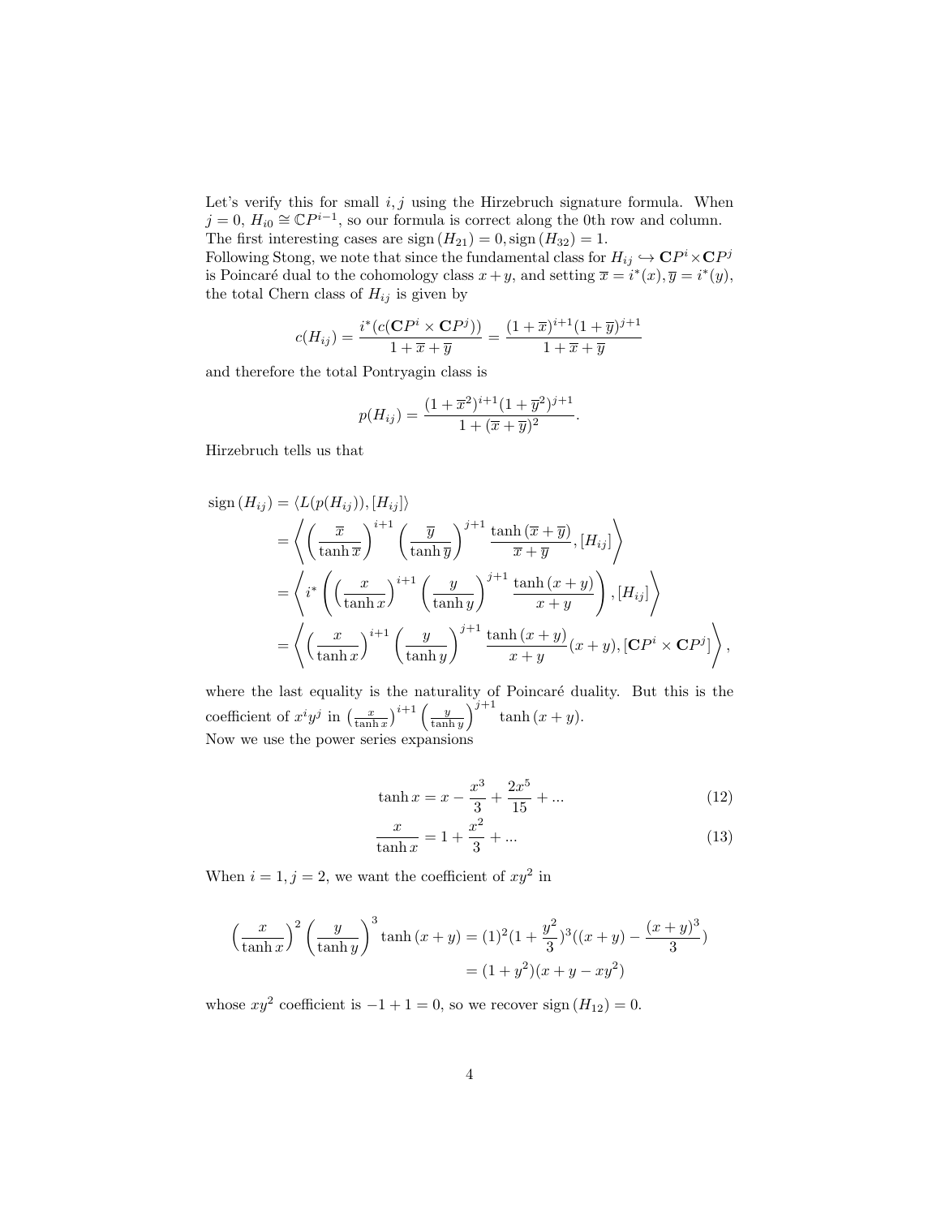Let's verify this for small  $i, j$  using the Hirzebruch signature formula. When  $j = 0, H_{i0} \cong \mathbb{C}P^{i-1}$ , so our formula is correct along the 0th row and column. The first interesting cases are sign  $(H_{21}) = 0$ , sign  $(H_{32}) = 1$ .

Following Stong, we note that since the fundamental class for  $H_{ij} \hookrightarrow \mathbb{C}P^i \times \mathbb{C}P^j$ is Poincaré dual to the cohomology class  $x + y$ , and setting  $\overline{x} = i^*(x), \overline{y} = i^*(y)$ , the total Chern class of  $H_{ij}$  is given by

$$
c(H_{ij}) = \frac{i^*(c(\mathbf{C}P^i \times \mathbf{C}P^j))}{1 + \overline{x} + \overline{y}} = \frac{(1 + \overline{x})^{i+1}(1 + \overline{y})^{j+1}}{1 + \overline{x} + \overline{y}}
$$

and therefore the total Pontryagin class is

$$
p(H_{ij}) = \frac{(1+\overline{x}^2)^{i+1}(1+\overline{y}^2)^{j+1}}{1+(\overline{x}+\overline{y})^2}.
$$

Hirzebruch tells us that

sign 
$$
(H_{ij}) = \langle L(p(H_{ij})), [H_{ij}] \rangle
$$
  
\n
$$
= \left\langle \left( \frac{\overline{x}}{\tanh \overline{x}} \right)^{i+1} \left( \frac{\overline{y}}{\tanh \overline{y}} \right)^{j+1} \frac{\tanh (\overline{x} + \overline{y})}{\overline{x} + \overline{y}}, [H_{ij}] \right\rangle
$$
\n
$$
= \left\langle i^* \left( \left( \frac{x}{\tanh x} \right)^{i+1} \left( \frac{y}{\tanh y} \right)^{j+1} \frac{\tanh (x + y)}{x + y} \right), [H_{ij}] \right\rangle
$$
\n
$$
= \left\langle \left( \frac{x}{\tanh x} \right)^{i+1} \left( \frac{y}{\tanh y} \right)^{j+1} \frac{\tanh (x + y)}{x + y} (x + y), [CP^i \times CP^j] \right\rangle,
$$

where the last equality is the naturality of Poincaré duality. But this is the coefficient of  $x^i y^j$  in  $\left(\frac{x}{\tanh x}\right)^{i+1} \left(\frac{y}{\tanh y}\right)^{j+1} \tanh(x+y)$ . Now we use the power series expansions

$$
\tanh x = x - \frac{x^3}{3} + \frac{2x^5}{15} + \dots \tag{12}
$$

$$
\frac{x}{\tanh x} = 1 + \frac{x^2}{3} + \dots
$$
 (13)

When  $i = 1, j = 2$ , we want the coefficient of  $xy^2$  in

$$
\left(\frac{x}{\tanh x}\right)^2 \left(\frac{y}{\tanh y}\right)^3 \tanh (x+y) = (1)^2 (1+\frac{y^2}{3})^3 ((x+y)-\frac{(x+y)^3}{3})
$$

$$
= (1+y^2)(x+y-xy^2)
$$

whose  $xy^2$  coefficient is  $-1+1=0$ , so we recover sign  $(H_{12})=0$ .